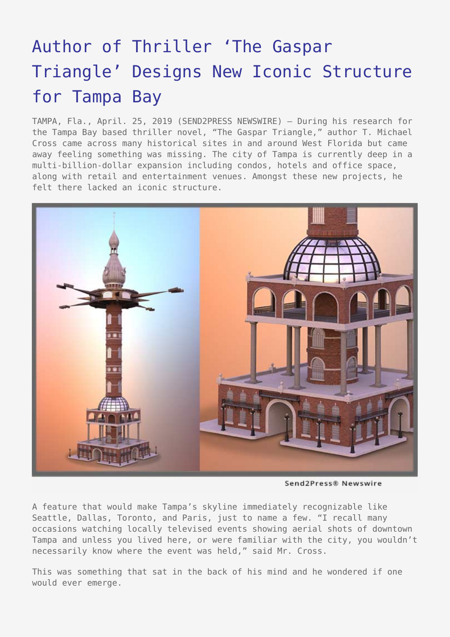## [Author of Thriller 'The Gaspar](https://www.send2press.com/wire/author-of-thriller-the-gaspar-triangle-designs-new-iconic-structure-for-tampa-bay/) [Triangle' Designs New Iconic Structure](https://www.send2press.com/wire/author-of-thriller-the-gaspar-triangle-designs-new-iconic-structure-for-tampa-bay/) [for Tampa Bay](https://www.send2press.com/wire/author-of-thriller-the-gaspar-triangle-designs-new-iconic-structure-for-tampa-bay/)

TAMPA, Fla., April. 25, 2019 (SEND2PRESS NEWSWIRE) — During his research for the Tampa Bay based thriller novel, "The Gaspar Triangle," author T. Michael Cross came across many historical sites in and around West Florida but came away feeling something was missing. The city of Tampa is currently deep in a multi-billion-dollar expansion including condos, hotels and office space, along with retail and entertainment venues. Amongst these new projects, he felt there lacked an iconic structure.



Send2Press® Newswire

A feature that would make Tampa's skyline immediately recognizable like Seattle, Dallas, Toronto, and Paris, just to name a few. "I recall many occasions watching locally televised events showing aerial shots of downtown Tampa and unless you lived here, or were familiar with the city, you wouldn't necessarily know where the event was held," said Mr. Cross.

This was something that sat in the back of his mind and he wondered if one would ever emerge.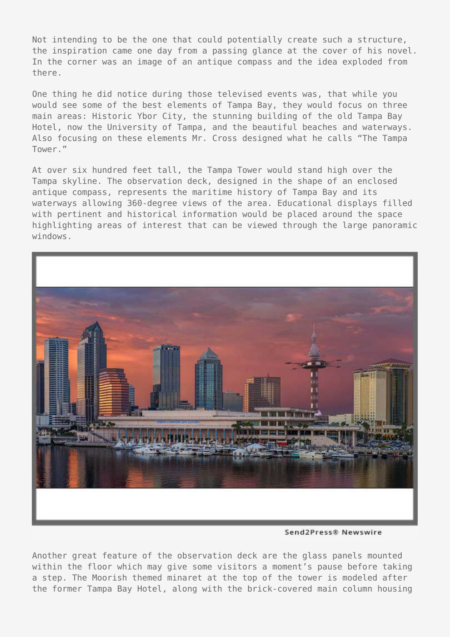Not intending to be the one that could potentially create such a structure, the inspiration came one day from a passing glance at the cover of his novel. In the corner was an image of an antique compass and the idea exploded from there.

One thing he did notice during those televised events was, that while you would see some of the best elements of Tampa Bay, they would focus on three main areas: Historic Ybor City, the stunning building of the old Tampa Bay Hotel, now the University of Tampa, and the beautiful beaches and waterways. Also focusing on these elements Mr. Cross designed what he calls "The Tampa Tower."

At over six hundred feet tall, the Tampa Tower would stand high over the Tampa skyline. The observation deck, designed in the shape of an enclosed antique compass, represents the maritime history of Tampa Bay and its waterways allowing 360-degree views of the area. Educational displays filled with pertinent and historical information would be placed around the space highlighting areas of interest that can be viewed through the large panoramic windows.



Send2Press® Newswire

Another great feature of the observation deck are the glass panels mounted within the floor which may give some visitors a moment's pause before taking a step. The Moorish themed minaret at the top of the tower is modeled after the former Tampa Bay Hotel, along with the brick-covered main column housing